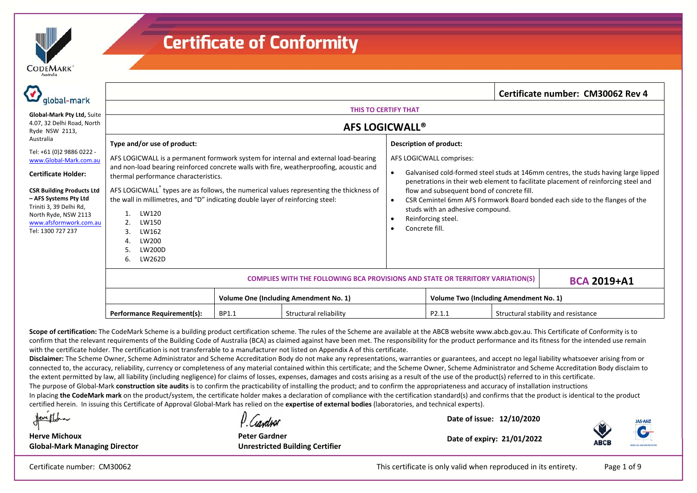

| global-mark                                                                          | Certificate number: CM30062 Rev 4                                                                                                                                                                                      |       |                        |                                                                                                                                                                                                      |                                                                                                                                                                          |  |                                     |
|--------------------------------------------------------------------------------------|------------------------------------------------------------------------------------------------------------------------------------------------------------------------------------------------------------------------|-------|------------------------|------------------------------------------------------------------------------------------------------------------------------------------------------------------------------------------------------|--------------------------------------------------------------------------------------------------------------------------------------------------------------------------|--|-------------------------------------|
| Global-Mark Pty Ltd, Suite<br>4.07, 32 Delhi Road, North<br>Ryde NSW 2113,           | <b>THIS TO CERTIFY THAT</b>                                                                                                                                                                                            |       |                        |                                                                                                                                                                                                      |                                                                                                                                                                          |  |                                     |
|                                                                                      | <b>AFS LOGICWALL®</b>                                                                                                                                                                                                  |       |                        |                                                                                                                                                                                                      |                                                                                                                                                                          |  |                                     |
| Australia<br>Tel: +61 (0)2 9886 0222 -                                               | Type and/or use of product:                                                                                                                                                                                            |       |                        | <b>Description of product:</b><br>AFS LOGICWALL comprises:                                                                                                                                           |                                                                                                                                                                          |  |                                     |
| www.Global-Mark.com.au<br><b>Certificate Holder:</b>                                 | AFS LOGICWALL is a permanent formwork system for internal and external load-bearing<br>and non-load bearing reinforced concrete walls with fire, weatherproofing, acoustic and<br>thermal performance characteristics. |       |                        |                                                                                                                                                                                                      | Galvanised cold-formed steel studs at 146mm centres, the studs having large lipped<br>penetrations in their web element to facilitate placement of reinforcing steel and |  |                                     |
| <b>CSR Building Products Ltd</b><br>- AFS Systems Pty Ltd<br>Triniti 3, 39 Delhi Rd, | AFS LOGICWALL <sup>®</sup> types are as follows, the numerical values representing the thickness of<br>the wall in millimetres, and "D" indicating double layer of reinforcing steel:<br>LW120<br>LW150<br>LW162<br>3. |       |                        | flow and subsequent bond of concrete fill.<br>CSR Cemintel 6mm AFS Formwork Board bonded each side to the flanges of the<br>studs with an adhesive compound.<br>Reinforcing steel.<br>Concrete fill. |                                                                                                                                                                          |  |                                     |
| North Ryde, NSW 2113<br>www.afsformwork.com.au<br>Tel: 1300 727 237                  |                                                                                                                                                                                                                        |       |                        |                                                                                                                                                                                                      |                                                                                                                                                                          |  |                                     |
|                                                                                      | LW200<br><b>LW200D</b><br>LW262D<br>6.                                                                                                                                                                                 |       |                        |                                                                                                                                                                                                      |                                                                                                                                                                          |  |                                     |
|                                                                                      |                                                                                                                                                                                                                        |       |                        | <b>COMPLIES WITH THE FOLLOWING BCA PROVISIONS AND STATE OR TERRITORY VARIATION(S)</b><br><b>BCA 2019+A1</b>                                                                                          |                                                                                                                                                                          |  |                                     |
|                                                                                      | <b>Volume One (Including Amendment No. 1)</b>                                                                                                                                                                          |       |                        |                                                                                                                                                                                                      | <b>Volume Two (Including Amendment No. 1)</b>                                                                                                                            |  |                                     |
|                                                                                      | <b>Performance Requirement(s):</b>                                                                                                                                                                                     | BP1.1 | Structural reliability |                                                                                                                                                                                                      | P2.1.1                                                                                                                                                                   |  | Structural stability and resistance |

Scope of certification: The CodeMark Scheme is a building product certification scheme. The rules of the Scheme are available at the ABCB website www.abcb.gov.au. This Certificate of Conformity is to confirm that the relevant requirements of the Building Code of Australia (BCA) as claimed against have been met. The responsibility for the product performance and its fitness for the intended use remain with the certificate holder. The certification is not transferrable to a manufacturer not listed on Appendix A of this certificate.

**Disclaimer:** The Scheme Owner, Scheme Administrator and Scheme Accreditation Body do not make any representations, warranties or guarantees, and accept no legal liability whatsoever arising from or connected to, the accuracy, reliability, currency or completeness of any material contained within this certificate; and the Scheme Owner, Scheme Administrator and Scheme Accreditation Body disclaim to the extent permitted by law, all liability (including negligence) for claims of losses, expenses, damages and costs arising as a result of the use of the product(s) referred to in this certificate.

The purpose of Global-Mark **construction site audits** is to confirm the practicability of installing the product; and to confirm the appropriateness and accuracy of installation instructions

In placing the CodeMark mark on the product/system, the certificate holder makes a declaration of compliance with the certification standard(s) and confirms that the product is identical to the product certified herein. In issuing this Certificate of Approval Global‐Mark has relied on the **expertise of external bodies** (laboratories, and technical experts).

Neve Mona

D Condust

**Date of issue: 12/10/2020** 



**Herve Michoux Global‐Mark Managing Director**

**Peter Gardner Unrestricted Building Certifier**

**Date of expiry: 21/01/2022** 

Certificate number: CM30062 This certificate is only valid when reproduced in its entirety. Page 1 of 9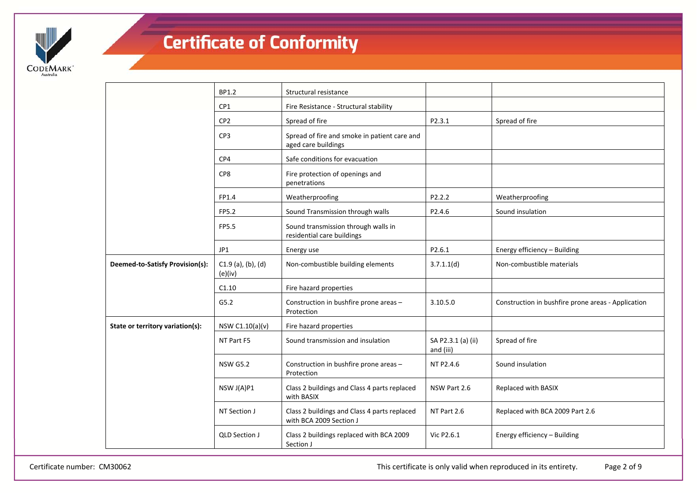

|                                  | BP1.2                           | Structural resistance                                                   |                                 |                                                    |
|----------------------------------|---------------------------------|-------------------------------------------------------------------------|---------------------------------|----------------------------------------------------|
|                                  | CP1                             | Fire Resistance - Structural stability                                  |                                 |                                                    |
|                                  | CP <sub>2</sub>                 | Spread of fire                                                          | P2.3.1                          | Spread of fire                                     |
|                                  | CP3                             | Spread of fire and smoke in patient care and<br>aged care buildings     |                                 |                                                    |
|                                  | CP4                             | Safe conditions for evacuation                                          |                                 |                                                    |
|                                  | CP8                             | Fire protection of openings and<br>penetrations                         |                                 |                                                    |
|                                  | FP1.4                           | Weatherproofing                                                         | P2.2.2                          | Weatherproofing                                    |
|                                  | FP5.2                           | Sound Transmission through walls                                        | P2.4.6                          | Sound insulation                                   |
|                                  | FP5.5                           | Sound transmission through walls in<br>residential care buildings       |                                 |                                                    |
|                                  | JP1                             | Energy use                                                              | P2.6.1                          | Energy efficiency - Building                       |
| Deemed-to-Satisfy Provision(s):  | $C1.9$ (a), (b), (d)<br>(e)(iv) | Non-combustible building elements                                       | 3.7.1.1(d)                      | Non-combustible materials                          |
|                                  | C1.10                           | Fire hazard properties                                                  |                                 |                                                    |
|                                  | G5.2                            | Construction in bushfire prone areas -<br>Protection                    | 3.10.5.0                        | Construction in bushfire prone areas - Application |
| State or territory variation(s): | NSW C1.10(a)(v)                 | Fire hazard properties                                                  |                                 |                                                    |
|                                  | NT Part F5                      | Sound transmission and insulation                                       | SA P2.3.1 (a) (ii)<br>and (iii) | Spread of fire                                     |
|                                  | <b>NSW G5.2</b>                 | Construction in bushfire prone areas -<br>Protection                    | NT P2.4.6                       | Sound insulation                                   |
|                                  | NSW J(A)P1                      | Class 2 buildings and Class 4 parts replaced<br>with BASIX              | NSW Part 2.6                    | Replaced with BASIX                                |
|                                  | NT Section J                    | Class 2 buildings and Class 4 parts replaced<br>with BCA 2009 Section J | NT Part 2.6                     | Replaced with BCA 2009 Part 2.6                    |
|                                  | <b>QLD Section J</b>            | Class 2 buildings replaced with BCA 2009<br>Section J                   | Vic P2.6.1                      | Energy efficiency - Building                       |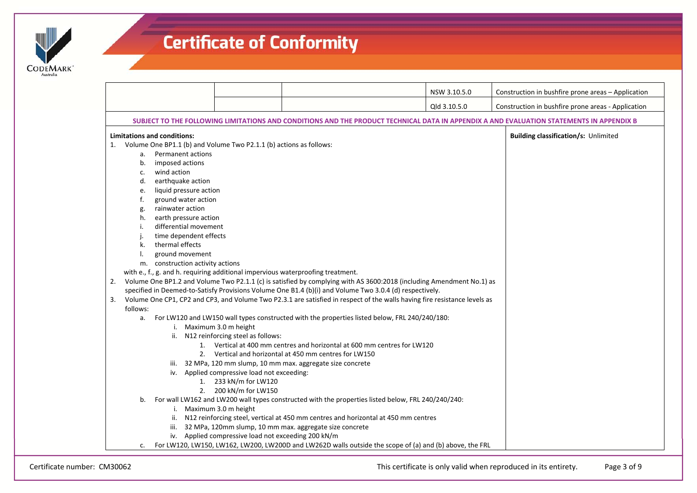

| Qld 3.10.5.0<br>Construction in bushfire prone areas - Application<br>SUBJECT TO THE FOLLOWING LIMITATIONS AND CONDITIONS AND THE PRODUCT TECHNICAL DATA IN APPENDIX A AND EVALUATION STATEMENTS IN APPENDIX B<br><b>Limitations and conditions:</b><br><b>Building classification/s: Unlimited</b><br>Volume One BP1.1 (b) and Volume Two P2.1.1 (b) actions as follows:<br>1.<br>Permanent actions<br>a.<br>imposed actions<br>b.<br>wind action<br>c.<br>earthquake action<br>d.<br>liquid pressure action<br>e.<br>ground water action<br>f.<br>rainwater action<br>g.<br>earth pressure action<br>h.<br>differential movement<br>time dependent effects<br>thermal effects<br>k.<br>ground movement<br>m. construction activity actions<br>with e., f., g. and h. requiring additional impervious waterproofing treatment.<br>Volume One BP1.2 and Volume Two P2.1.1 (c) is satisfied by complying with AS 3600:2018 (including Amendment No.1) as<br>2.<br>specified in Deemed-to-Satisfy Provisions Volume One B1.4 (b)(i) and Volume Two 3.0.4 (d) respectively.<br>Volume One CP1, CP2 and CP3, and Volume Two P2.3.1 are satisfied in respect of the walls having fire resistance levels as<br>3.<br>follows: |  |
|-------------------------------------------------------------------------------------------------------------------------------------------------------------------------------------------------------------------------------------------------------------------------------------------------------------------------------------------------------------------------------------------------------------------------------------------------------------------------------------------------------------------------------------------------------------------------------------------------------------------------------------------------------------------------------------------------------------------------------------------------------------------------------------------------------------------------------------------------------------------------------------------------------------------------------------------------------------------------------------------------------------------------------------------------------------------------------------------------------------------------------------------------------------------------------------------------------------------------|--|
|                                                                                                                                                                                                                                                                                                                                                                                                                                                                                                                                                                                                                                                                                                                                                                                                                                                                                                                                                                                                                                                                                                                                                                                                                         |  |
|                                                                                                                                                                                                                                                                                                                                                                                                                                                                                                                                                                                                                                                                                                                                                                                                                                                                                                                                                                                                                                                                                                                                                                                                                         |  |
| For LW120 and LW150 wall types constructed with the properties listed below, FRL 240/240/180:<br>a.<br>i. Maximum 3.0 m height<br>ii. N12 reinforcing steel as follows:<br>1. Vertical at 400 mm centres and horizontal at 600 mm centres for LW120<br>2. Vertical and horizontal at 450 mm centres for LW150<br>iii. 32 MPa, 120 mm slump, 10 mm max. aggregate size concrete<br>iv. Applied compressive load not exceeding:<br>1. 233 kN/m for LW120<br>2. 200 kN/m for LW150<br>For wall LW162 and LW200 wall types constructed with the properties listed below, FRL 240/240/240:<br>b.                                                                                                                                                                                                                                                                                                                                                                                                                                                                                                                                                                                                                             |  |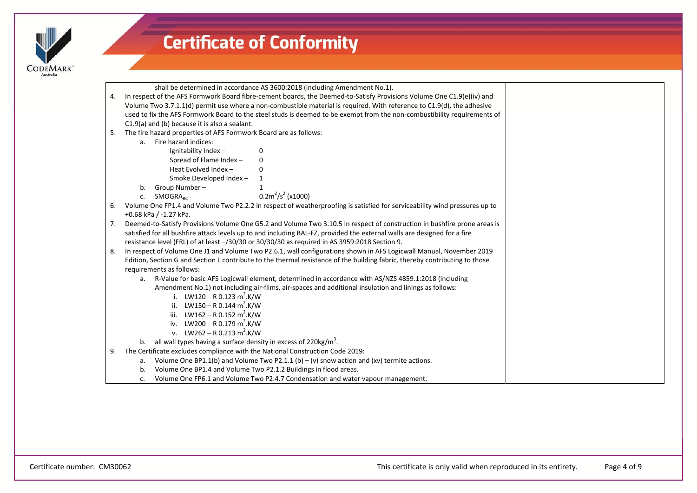

|    | shall be determined in accordance AS 3600:2018 (including Amendment No.1).                                                  |  |  |  |  |  |
|----|-----------------------------------------------------------------------------------------------------------------------------|--|--|--|--|--|
| 4. | In respect of the AFS Formwork Board fibre-cement boards, the Deemed-to-Satisfy Provisions Volume One C1.9(e)(iv) and       |  |  |  |  |  |
|    | Volume Two 3.7.1.1(d) permit use where a non-combustible material is required. With reference to C1.9(d), the adhesive      |  |  |  |  |  |
|    | used to fix the AFS Formwork Board to the steel studs is deemed to be exempt from the non-combustibility requirements of    |  |  |  |  |  |
|    | C1.9(a) and (b) because it is also a sealant.                                                                               |  |  |  |  |  |
| 5. | The fire hazard properties of AFS Formwork Board are as follows:                                                            |  |  |  |  |  |
|    | a. Fire hazard indices:                                                                                                     |  |  |  |  |  |
|    | Ignitability Index-<br>0                                                                                                    |  |  |  |  |  |
|    | Spread of Flame Index-<br>0                                                                                                 |  |  |  |  |  |
|    | Heat Evolved Index -<br><sup>0</sup>                                                                                        |  |  |  |  |  |
|    | Smoke Developed Index -                                                                                                     |  |  |  |  |  |
|    | Group Number-<br>b.                                                                                                         |  |  |  |  |  |
|    | $0.2m^2/s^2$ (x1000)<br>SMOGRA <sub>RC</sub><br>C.                                                                          |  |  |  |  |  |
| 6. | Volume One FP1.4 and Volume Two P2.2.2 in respect of weatherproofing is satisfied for serviceability wind pressures up to   |  |  |  |  |  |
|    | +0.68 kPa / -1.27 kPa.                                                                                                      |  |  |  |  |  |
| 7. | Deemed-to-Satisfy Provisions Volume One G5.2 and Volume Two 3.10.5 in respect of construction in bushfire prone areas is    |  |  |  |  |  |
|    | satisfied for all bushfire attack levels up to and including BAL-FZ, provided the external walls are designed for a fire    |  |  |  |  |  |
|    | resistance level (FRL) of at least -/30/30 or 30/30/30 as required in AS 3959:2018 Section 9.                               |  |  |  |  |  |
| 8. | In respect of Volume One J1 and Volume Two P2.6.1, wall configurations shown in AFS Logicwall Manual, November 2019         |  |  |  |  |  |
|    | Edition, Section G and Section L contribute to the thermal resistance of the building fabric, thereby contributing to those |  |  |  |  |  |
|    | requirements as follows:                                                                                                    |  |  |  |  |  |
|    | R-Value for basic AFS Logicwall element, determined in accordance with AS/NZS 4859.1:2018 (including<br>а.                  |  |  |  |  |  |
|    | Amendment No.1) not including air-films, air-spaces and additional insulation and linings as follows:                       |  |  |  |  |  |
|    | i. LW120 – R 0.123 m <sup>2</sup> .K/W                                                                                      |  |  |  |  |  |
|    | ii. LW150 – R 0.144 m <sup>2</sup> .K/W                                                                                     |  |  |  |  |  |
|    | iii. LW162 – R 0.152 m <sup>2</sup> .K/W                                                                                    |  |  |  |  |  |
|    | iv. LW200 – R 0.179 m <sup>2</sup> .K/W                                                                                     |  |  |  |  |  |
|    | v. LW262 – R 0.213 m <sup>2</sup> .K/W                                                                                      |  |  |  |  |  |
|    | all wall types having a surface density in excess of 220kg/m <sup>3</sup> .<br>b.                                           |  |  |  |  |  |
| 9. | The Certificate excludes compliance with the National Construction Code 2019:                                               |  |  |  |  |  |
|    | Volume One BP1.1(b) and Volume Two P2.1.1 (b) – (v) snow action and (xv) termite actions.<br>a.                             |  |  |  |  |  |
|    | Volume One BP1.4 and Volume Two P2.1.2 Buildings in flood areas.<br>b.                                                      |  |  |  |  |  |
|    | Volume One FP6.1 and Volume Two P2.4.7 Condensation and water vapour management.<br>c.                                      |  |  |  |  |  |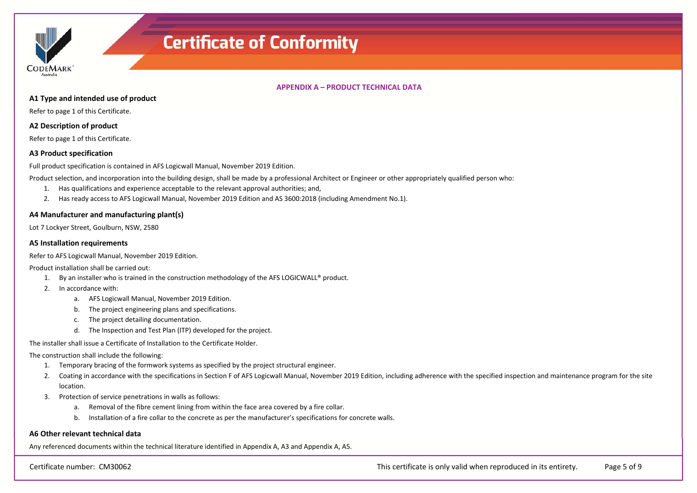

#### **APPENDIX A – PRODUCT TECHNICAL DATA**

#### **A1 Type and intended use of product**

Refer to page 1 of this Certificate.

#### **A2 Description of product**

Refer to page 1 of this Certificate.

#### **A3 Product specification**

Full product specification is contained in AFS Logicwall Manual, November 2019 Edition.

Product selection, and incorporation into the building design, shall be made by a professional Architect or Engineer or other appropriately qualified person who:

- 1. Has qualifications and experience acceptable to the relevant approval authorities; and,
- 2. Has ready access to AFS Logicwall Manual, November 2019 Edition and AS 3600:2018 (including Amendment No.1).

#### **A4 Manufacturer and manufacturing plant(s)**

Lot 7 Lockyer Street, Goulburn, NSW, 2580

#### **A5 Installation requirements**

Refer to AFS Logicwall Manual, November 2019 Edition.

Product installation shall be carried out:

- 1. By an installer who is trained in the construction methodology of the AFS LOGICWALL® product.
- 2. In accordance with:
	- a. AFS Logicwall Manual, November 2019 Edition.
	- b. The project engineering plans and specifications.
	- c. The project detailing documentation.
	- d. The Inspection and Test Plan (ITP) developed for the project.

The installer shall issue a Certificate of Installation to the Certificate Holder.

The construction shall include the following:

- 1. Temporary bracing of the formwork systems as specified by the project structural engineer.
- 2. Coating in accordance with the specifications in Section F of AFS Logicwall Manual, November 2019 Edition, including adherence with the specified inspection and maintenance program for the site location.
- 3. Protection of service penetrations in walls as follows:
	- a. Removal of the fibre cement lining from within the face area covered by a fire collar.
	- b. Installation of a fire collar to the concrete as per the manufacturer's specifications for concrete walls.

#### **A6 Other relevant technical data**

Any referenced documents within the technical literature identified in Appendix A, A3 and Appendix A, A5.

Certificate number: CM30062 This certificate is only valid when reproduced in its entirety. Page 5 of 9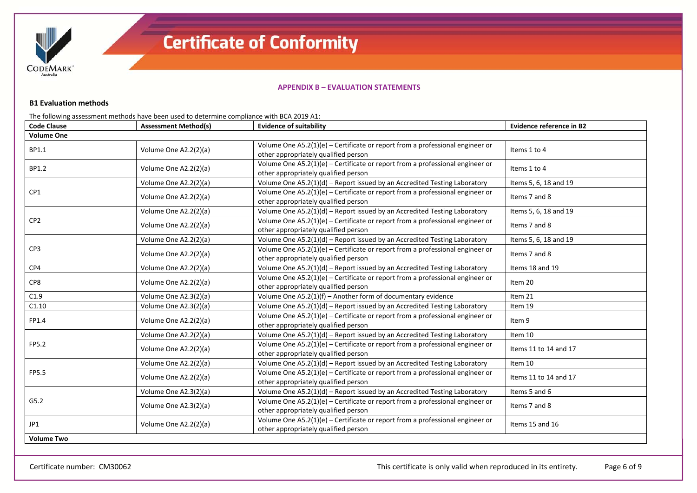

#### **APPENDIX B – EVALUATION STATEMENTS**

#### **B1 Evaluation methods**

The following assessment methods have been used to determine compliance with BCA 2019 A1:

| <b>Code Clause</b> | <b>Assessment Method(s)</b> | <b>Evidence of suitability</b>                                                                                          | Evidence reference in B2 |
|--------------------|-----------------------------|-------------------------------------------------------------------------------------------------------------------------|--------------------------|
| <b>Volume One</b>  |                             |                                                                                                                         |                          |
| BP1.1              | Volume One A2.2(2)(a)       | Volume One $A5.2(1)(e)$ – Certificate or report from a professional engineer or<br>other appropriately qualified person | Items 1 to 4             |
| BP1.2              | Volume One A2.2(2)(a)       | Volume One $A5.2(1)(e)$ – Certificate or report from a professional engineer or<br>other appropriately qualified person | Items 1 to 4             |
|                    | Volume One A2.2(2)(a)       | Volume One A5.2(1)(d) - Report issued by an Accredited Testing Laboratory                                               | Items 5, 6, 18 and 19    |
| CP1                | Volume One A2.2(2)(a)       | Volume One $A5.2(1)(e)$ – Certificate or report from a professional engineer or<br>other appropriately qualified person | Items 7 and 8            |
|                    | Volume One A2.2(2)(a)       | Volume One A5.2(1)(d) - Report issued by an Accredited Testing Laboratory                                               | Items 5, 6, 18 and 19    |
| CP <sub>2</sub>    | Volume One A2.2(2)(a)       | Volume One $A5.2(1)(e)$ – Certificate or report from a professional engineer or<br>other appropriately qualified person | Items 7 and 8            |
|                    | Volume One A2.2(2)(a)       | Volume One A5.2(1)(d) - Report issued by an Accredited Testing Laboratory                                               | Items 5, 6, 18 and 19    |
| CP3                | Volume One A2.2(2)(a)       | Volume One $A5.2(1)(e)$ – Certificate or report from a professional engineer or<br>other appropriately qualified person | Items 7 and 8            |
| CP4                | Volume One A2.2(2)(a)       | Volume One A5.2(1)(d) - Report issued by an Accredited Testing Laboratory                                               | Items 18 and 19          |
| CP8                | Volume One A2.2(2)(a)       | Volume One $A5.2(1)(e)$ – Certificate or report from a professional engineer or<br>other appropriately qualified person | Item 20                  |
| C1.9               | Volume One A2.3(2)(a)       | Volume One A5.2(1)(f) - Another form of documentary evidence                                                            | Item 21                  |
| C1.10              | Volume One A2.3(2)(a)       | Volume One A5.2(1)(d) - Report issued by an Accredited Testing Laboratory                                               | Item 19                  |
| FP1.4              | Volume One A2.2(2)(a)       | Volume One $A5.2(1)(e)$ – Certificate or report from a professional engineer or<br>other appropriately qualified person | Item 9                   |
|                    | Volume One A2.2(2)(a)       | Volume One A5.2(1)(d) - Report issued by an Accredited Testing Laboratory                                               | Item 10                  |
| FP5.2              | Volume One A2.2(2)(a)       | Volume One $A5.2(1)(e)$ – Certificate or report from a professional engineer or<br>other appropriately qualified person | Items 11 to 14 and 17    |
|                    | Volume One A2.2(2)(a)       | Volume One A5.2(1)(d) - Report issued by an Accredited Testing Laboratory                                               | Item 10                  |
| FP5.5              | Volume One A2.2(2)(a)       | Volume One $A5.2(1)(e)$ – Certificate or report from a professional engineer or<br>other appropriately qualified person | Items 11 to 14 and 17    |
|                    | Volume One A2.3(2)(a)       | Volume One A5.2(1)(d) - Report issued by an Accredited Testing Laboratory                                               | Items 5 and 6            |
| G5.2               | Volume One A2.3(2)(a)       | Volume One $A5.2(1)(e)$ – Certificate or report from a professional engineer or<br>other appropriately qualified person | Items 7 and 8            |
| JP1                | Volume One A2.2(2)(a)       | Volume One $A5.2(1)(e)$ – Certificate or report from a professional engineer or<br>other appropriately qualified person | Items 15 and 16          |
| <b>Volume Two</b>  |                             |                                                                                                                         |                          |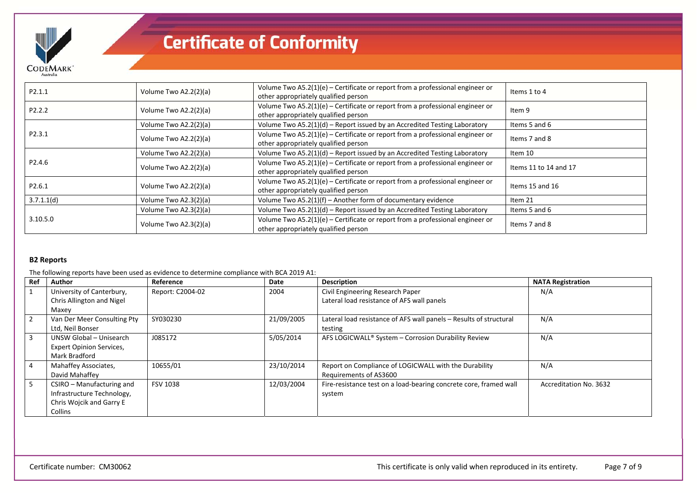

| P2.1.1             | Volume Two A2.2(2)(a) | Volume Two A5.2(1)(e) – Certificate or report from a professional engineer or<br>other appropriately qualified person | Items 1 to 4          |
|--------------------|-----------------------|-----------------------------------------------------------------------------------------------------------------------|-----------------------|
| P <sub>2.2.2</sub> | Volume Two A2.2(2)(a) | Volume Two A5.2(1)(e) - Certificate or report from a professional engineer or<br>other appropriately qualified person | Item 9                |
|                    | Volume Two A2.2(2)(a) | Volume Two $A5.2(1)(d)$ – Report issued by an Accredited Testing Laboratory                                           | Items 5 and 6         |
| P2.3.1             | Volume Two A2.2(2)(a) | Volume Two A5.2(1)(e) – Certificate or report from a professional engineer or<br>other appropriately qualified person | Items 7 and 8         |
|                    | Volume Two A2.2(2)(a) | Volume Two $A5.2(1)(d)$ – Report issued by an Accredited Testing Laboratory                                           | Item 10               |
| P2.4.6             | Volume Two A2.2(2)(a) | Volume Two A5.2(1)(e) - Certificate or report from a professional engineer or<br>other appropriately qualified person | Items 11 to 14 and 17 |
| P2.6.1             | Volume Two A2.2(2)(a) | Volume Two A5.2(1)(e) – Certificate or report from a professional engineer or<br>other appropriately qualified person | Items 15 and 16       |
| 3.7.1.1(d)         | Volume Two A2.3(2)(a) | Volume Two A5.2(1)(f) - Another form of documentary evidence                                                          | Item 21               |
|                    | Volume Two A2.3(2)(a) | Volume Two A5.2(1)(d) - Report issued by an Accredited Testing Laboratory                                             | Items 5 and 6         |
| 3.10.5.0           | Volume Two A2.3(2)(a) | Volume Two A5.2(1)(e) - Certificate or report from a professional engineer or<br>other appropriately qualified person | Items 7 and 8         |

### **B2 Reports**

The following reports have been used as evidence to determine compliance with BCA 2019 A1:

| Ref | Author                                                                                         | Reference        | Date       | <b>Description</b>                                                              | <b>NATA Registration</b> |
|-----|------------------------------------------------------------------------------------------------|------------------|------------|---------------------------------------------------------------------------------|--------------------------|
|     | University of Canterbury,<br>Chris Allington and Nigel<br>Maxey                                | Report: C2004-02 | 2004       | Civil Engineering Research Paper<br>Lateral load resistance of AFS wall panels  | N/A                      |
|     | Van Der Meer Consulting Pty<br>Ltd, Neil Bonser                                                | SY030230         | 21/09/2005 | Lateral load resistance of AFS wall panels - Results of structural<br>testing   | N/A                      |
|     | UNSW Global - Unisearch<br><b>Expert Opinion Services,</b><br>Mark Bradford                    | J085172          | 5/05/2014  | AFS LOGICWALL <sup>®</sup> System - Corrosion Durability Review                 | N/A                      |
|     | Mahaffey Associates,<br>David Mahaffey                                                         | 10655/01         | 23/10/2014 | Report on Compliance of LOGICWALL with the Durability<br>Requirements of AS3600 | N/A                      |
| 5   | CSIRO - Manufacturing and<br>Infrastructure Technology,<br>Chris Wojcik and Garry E<br>Collins | <b>FSV 1038</b>  | 12/03/2004 | Fire-resistance test on a load-bearing concrete core, framed wall<br>system     | Accreditation No. 3632   |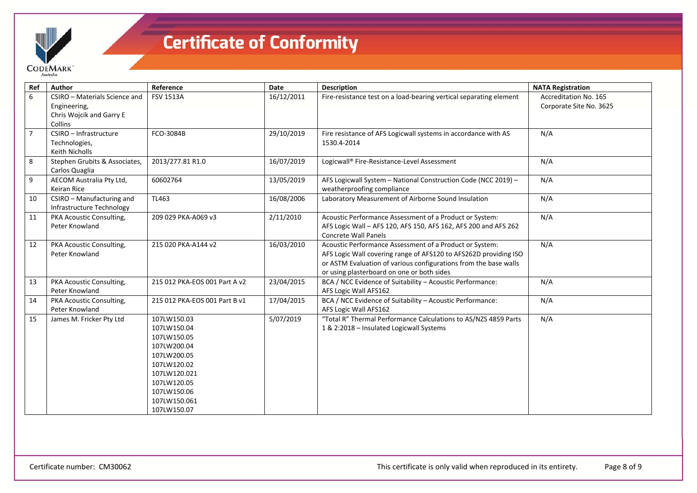

| Ref            | Author                                                                    | Reference                                                                                                                                                           | <b>Date</b> | <b>Description</b>                                                                                                                                                                                                                            | <b>NATA Registration</b>                         |
|----------------|---------------------------------------------------------------------------|---------------------------------------------------------------------------------------------------------------------------------------------------------------------|-------------|-----------------------------------------------------------------------------------------------------------------------------------------------------------------------------------------------------------------------------------------------|--------------------------------------------------|
| 6              | CSIRO - Materials Science and<br>Engineering,<br>Chris Wojcik and Garry E | <b>FSV 1513A</b>                                                                                                                                                    | 16/12/2011  | Fire-resistance test on a load-bearing vertical separating element                                                                                                                                                                            | Accreditation No. 165<br>Corporate Site No. 3625 |
| $\overline{7}$ | Collins<br>CSIRO - Infrastructure<br>Technologies,<br>Keith Nicholls      | FCO-3084B                                                                                                                                                           | 29/10/2019  | Fire resistance of AFS Logicwall systems in accordance with AS<br>1530.4-2014                                                                                                                                                                 | N/A                                              |
| 8              | Stephen Grubits & Associates,<br>Carlos Quaglia                           | 2013/277.81 R1.0                                                                                                                                                    | 16/07/2019  | Logicwall® Fire-Resistance-Level Assessment                                                                                                                                                                                                   | N/A                                              |
| 9              | AECOM Australia Pty Ltd,<br>Keiran Rice                                   | 60602764                                                                                                                                                            | 13/05/2019  | AFS Logicwall System - National Construction Code (NCC 2019) -<br>weatherproofing compliance                                                                                                                                                  | N/A                                              |
| 10             | CSIRO - Manufacturing and<br>Infrastructure Technology                    | TL463                                                                                                                                                               | 16/08/2006  | Laboratory Measurement of Airborne Sound Insulation                                                                                                                                                                                           | N/A                                              |
| 11             | PKA Acoustic Consulting,<br>Peter Knowland                                | 209 029 PKA-A069 v3                                                                                                                                                 | 2/11/2010   | Acoustic Performance Assessment of a Product or System:<br>AFS Logic Wall - AFS 120, AFS 150, AFS 162, AFS 200 and AFS 262<br><b>Concrete Wall Panels</b>                                                                                     | N/A                                              |
| 12             | PKA Acoustic Consulting,<br>Peter Knowland                                | 215 020 PKA-A144 v2                                                                                                                                                 | 16/03/2010  | Acoustic Performance Assessment of a Product or System:<br>AFS Logic Wall covering range of AFS120 to AFS262D providing ISO<br>or ASTM Evaluation of various configurations from the base walls<br>or using plasterboard on one or both sides | N/A                                              |
| 13             | PKA Acoustic Consulting,<br>Peter Knowland                                | 215 012 PKA-EOS 001 Part A v2                                                                                                                                       | 23/04/2015  | BCA / NCC Evidence of Suitability - Acoustic Performance:<br>AFS Logic Wall AFS162                                                                                                                                                            | N/A                                              |
| 14             | PKA Acoustic Consulting,<br>Peter Knowland                                | 215 012 PKA-EOS 001 Part B v1                                                                                                                                       | 17/04/2015  | BCA / NCC Evidence of Suitability - Acoustic Performance:<br>AFS Logic Wall AFS162                                                                                                                                                            | N/A                                              |
| 15             | James M. Fricker Pty Ltd                                                  | 107LW150.03<br>107LW150.04<br>107LW150.05<br>107LW200.04<br>107LW200.05<br>107LW120.02<br>107LW120.021<br>107LW120.05<br>107LW150.06<br>107LW150.061<br>107LW150.07 | 5/07/2019   | "Total R" Thermal Performance Calculations to AS/NZS 4859 Parts<br>1 & 2:2018 - Insulated Logicwall Systems                                                                                                                                   | N/A                                              |